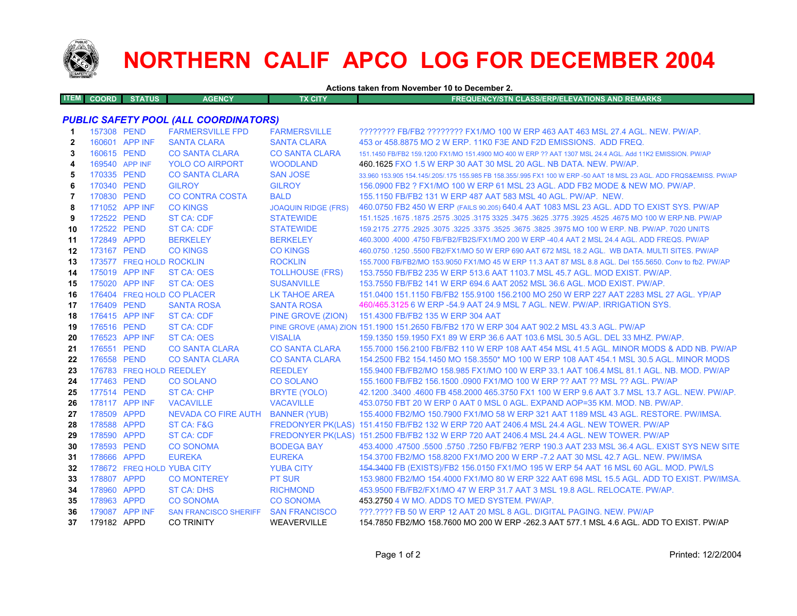

## **NORTHERN CALIF APCO LOG FOR DECEMBER 2004**

**Actions taken from November 10 to December 2.**

| 1 EM 1 | COO<br>הוסו<br>. | <b>ATUS</b><br>a shekarar 1970. Shekarar 1980 a shekarar 1980 a shekarar 1980 a shekarar 1980 a shekarar 1980 a tsa shekarar<br>--- | <b>AGENCY</b> | $\overline{\phantom{a}}$<br><b>CITY</b><br>,,, | <b>AND PEMARKS</b><br><b>LASS/ERP/ELEVATIONS</b><br>STN CL<br>NCVIS<br>NGY/SI<br>''KEMARKS<br><b>MARK</b> |
|--------|------------------|-------------------------------------------------------------------------------------------------------------------------------------|---------------|------------------------------------------------|-----------------------------------------------------------------------------------------------------------|
|        |                  |                                                                                                                                     |               |                                                |                                                                                                           |

## *PUBLIC SAFETY POOL (ALL COORDINATORS)*

| 1.           | 157308 PEND |                          | <b>FARMERSVILLE FPD</b>      | <b>FARMERSVILLE</b>        | ???????? FB/FB2 ???????? FX1/MO 100 W ERP 463 AAT 463 MSL 27.4 AGL. NEW. PW/AP.                                     |
|--------------|-------------|--------------------------|------------------------------|----------------------------|---------------------------------------------------------------------------------------------------------------------|
| $\mathbf{2}$ |             | 160601 APP INF           | <b>SANTA CLARA</b>           | <b>SANTA CLARA</b>         | 453 or 458,8875 MO 2 W ERP, 11K0 F3E AND F2D EMISSIONS. ADD FREQ.                                                   |
| 3            | 160615 PEND |                          | <b>CO SANTA CLARA</b>        | <b>CO SANTA CLARA</b>      | 151.1450 FB/FB2 159.1200 FX1/MO 151.4900 MO 400 W ERP ?? AAT 1307 MSL 24.4 AGL, Add 11K2 EMISSION, PW/AP            |
| 4            |             | 169540 APP INF           | <b>YOLO CO AIRPORT</b>       | <b>WOODLAND</b>            | 460.1625 FXO 1.5 W ERP 30 AAT 30 MSL 20 AGL. NB DATA. NEW. PW/AP.                                                   |
| 5            | 170335 PEND |                          | <b>CO SANTA CLARA</b>        | <b>SAN JOSE</b>            | 33,960 153,905 154,145/.205/.175 155,985 FB 158,355/.995 FX1 100 W ERP -50 AAT 18 MSL 23 AGL, ADD FRQS&EMISS, PW/AP |
| 6            | 170340 PEND |                          | <b>GILROY</b>                | <b>GILROY</b>              | 156,0900 FB2 ? FX1/MO 100 W ERP 61 MSL 23 AGL, ADD FB2 MODE & NEW MO, PW/AP,                                        |
| 7            | 170830 PEND |                          | <b>CO CONTRA COSTA</b>       | <b>BALD</b>                | 155.1150 FB/FB2 131 W ERP 487 AAT 583 MSL 40 AGL. PW/AP. NEW.                                                       |
| 8            |             | 171052 APP INF           | <b>CO KINGS</b>              | <b>JOAQUIN RIDGE (FRS)</b> | 460.0750 FB2 450 W ERP (FAILS 90.205) 640.4 AAT 1083 MSL 23 AGL. ADD TO EXIST SYS. PW/AP                            |
| 9            | 172522 PEND |                          | <b>ST CA: CDF</b>            | <b>STATEWIDE</b>           | 151.1525 .1675 .1875 .2575 .3025 .3175 3325 .3475 .3625 .3775 .3925 .4525 .4675 MO 100 W ERP.NB. PW/AP              |
| 10           | 172522 PEND |                          | <b>ST CA: CDF</b>            | <b>STATEWIDE</b>           | 159.2175 .2775 .2925 .3075 .3225 .3675 .3675 .3825 .3975 MO 100 W ERP. NB. PW/AP. 7020 UNITS                        |
| 11           | 172849 APPD |                          | <b>BERKELEY</b>              | <b>BERKELEY</b>            | 460.3000 .4000 .4750 FB/FB2/FB2S/FX1/MO 200 W ERP -40.4 AAT 2 MSL 24.4 AGL. ADD FREQS. PW/AP                        |
| 12           | 173167 PEND |                          | <b>CO KINGS</b>              | <b>CO KINGS</b>            | 460.0750 .1250 .5500 FB2/FX1/MO 50 W ERP 690 AAT 672 MSL 18.2 AGL. WB DATA, MULTI SITES, PW/AP                      |
| 13           |             | 173577 FREQ HOLD ROCKLIN |                              | <b>ROCKLIN</b>             | 155.7000 FB/FB2/MO 153.9050 FX1/MO 45 W ERP 11.3 AAT 87 MSL 8.8 AGL. Del 155.5650. Conv to fb2. PW/AP               |
| 14           |             | 175019 APP INF           | <b>ST CA: OES</b>            | <b>TOLLHOUSE (FRS)</b>     | 153.7550 FB/FB2 235 W ERP 513.6 AAT 1103.7 MSL 45.7 AGL, MOD EXIST, PW/AP.                                          |
| 15           |             | 175020 APP INF           | <b>ST CA: OES</b>            | <b>SUSANVILLE</b>          | 153.7550 FB/FB2 141 W ERP 694.6 AAT 2052 MSL 36.6 AGL, MOD EXIST, PW/AP.                                            |
| 16           |             |                          | 176404 FREQ HOLD CO PLACER   | LK TAHOE AREA              | 151,0400 151,1150 FB/FB2 155,9100 156,2100 MO 250 W ERP 227 AAT 2283 MSL 27 AGL, YP/AP                              |
| 17           | 176409 PEND |                          | <b>SANTA ROSA</b>            | <b>SANTA ROSA</b>          | 460/465.3125 6 W ERP -54.9 AAT 24.9 MSL 7 AGL. NEW. PW/AP. IRRIGATION SYS.                                          |
| 18           |             | 176415 APP INF           | <b>ST CA: CDF</b>            | PINE GROVE (ZION)          | 151.4300 FB/FB2 135 W ERP 304 AAT                                                                                   |
| 19           | 176516 PEND |                          | ST CA: CDF                   |                            | PINE GROVE (AMA) ZION 151.1900 151.2650 FB/FB2 170 W ERP 304 AAT 902.2 MSL 43.3 AGL. PW/AP                          |
| 20           |             | 176523 APP INF           | <b>ST CA: OES</b>            | <b>VISALIA</b>             | 159.1350 159.1950 FX1 89 W ERP 36.6 AAT 103.6 MSL 30.5 AGL, DEL 33 MHZ, PW/AP,                                      |
| 21           | 176551 PEND |                          | <b>CO SANTA CLARA</b>        | <b>CO SANTA CLARA</b>      | 155,7000 156,2100 FB/FB2 110 W ERP 108 AAT 454 MSL 41.5 AGL, MINOR MODS & ADD NB, PW/AP                             |
| 22           | 176558 PEND |                          | <b>CO SANTA CLARA</b>        | <b>CO SANTA CLARA</b>      | 154,2500 FB2 154,1450 MO 158,3550* MO 100 W ERP 108 AAT 454,1 MSL 30.5 AGL. MINOR MODS                              |
| 23           |             | 176783 FREQ HOLD REEDLEY |                              | <b>REEDLEY</b>             | 155,9400 FB/FB2/MO 158,985 FX1/MO 100 W ERP 33.1 AAT 106.4 MSL 81.1 AGL, NB, MOD, PW/AP                             |
| 24           | 177463 PEND |                          | <b>CO SOLANO</b>             | <b>CO SOLANO</b>           | 155.1600 FB/FB2 156.1500 .0900 FX1/MO 100 W ERP ?? AAT ?? MSL ?? AGL, PW/AP                                         |
| 25           | 177514 PEND |                          | ST CA: CHP                   | BRYTE (YOLO)               | 42.1200 .3400 .4600 FB 458.2000 465.3750 FX1 100 W ERP 9.6 AAT 3.7 MSL 13.7 AGL, NEW, PW/AP,                        |
| 26           |             | 178117 APP INF           | <b>VACAVILLE</b>             | <b>VACAVILLE</b>           | 453.0750 FBT 20 W ERP 0 AAT 0 MSL 0 AGL. EXPAND AOP=35 KM. MOD. NB. PW/AP.                                          |
| 27           | 178509 APPD |                          | NEVADA CO FIRE AUTH          | <b>BANNER (YUB)</b>        | 155,4000 FB2/MO 150,7900 FX1/MO 58 W ERP 321 AAT 1189 MSL 43 AGL. RESTORE, PW/IMSA,                                 |
| 28           | 178588 APPD |                          | ST CA: F&G                   |                            | FREDONYER PK(LAS) 151.4150 FB/FB2 132 W ERP 720 AAT 2406.4 MSL 24.4 AGL. NEW TOWER, PW/AP                           |
| 29           | 178590 APPD |                          | <b>ST CA: CDF</b>            |                            | FREDONYER PK(LAS) 151.2500 FB/FB2 132 W ERP 720 AAT 2406.4 MSL 24.4 AGL. NEW TOWER. PW/AP                           |
| 30           | 178593 PEND |                          | <b>CO SONOMA</b>             | <b>BODEGA BAY</b>          | 453,4000 .47500 .5500 .5750 .7250 FB/FB2 ?ERP 190.3 AAT 233 MSL 36.4 AGL. EXIST SYS NEW SITE                        |
| 31           | 178666 APPD |                          | <b>EUREKA</b>                | <b>EUREKA</b>              | 154.3700 FB2/MO 158.8200 FX1/MO 200 W ERP -7.2 AAT 30 MSL 42.7 AGL, NEW, PW/IMSA                                    |
| 32           |             |                          | 178672 FREQ HOLD YUBA CITY   | <b>YUBA CITY</b>           | 154.3400 FB (EXISTS)/FB2 156.0150 FX1/MO 195 W ERP 54 AAT 16 MSL 60 AGL. MOD. PW/LS                                 |
| 33           | 178807 APPD |                          | <b>CO MONTEREY</b>           | <b>PT SUR</b>              | 153.9800 FB2/MO 154.4000 FX1/MO 80 W ERP 322 AAT 698 MSL 15.5 AGL. ADD TO EXIST. PW/IMSA.                           |
| 34           | 178960 APPD |                          | <b>ST CA: DHS</b>            | <b>RICHMOND</b>            | 453,9500 FB/FB2/FX1/MO 47 W ERP 31.7 AAT 3 MSL 19.8 AGL. RELOCATE, PW/AP.                                           |
| 35           | 178963 APPD |                          | <b>CO SONOMA</b>             | <b>CO SONOMA</b>           | 453.2750 4 W MO. ADDS TO MED SYSTEM. PW/AP.                                                                         |
| 36           |             | 179087 APP INF           | <b>SAN FRANCISCO SHERIFF</b> | <b>SAN FRANCISCO</b>       | ???.???? FB 50 W ERP 12 AAT 20 MSL 8 AGL, DIGITAL PAGING, NEW, PW/AP                                                |
| 37           | 179182 APPD |                          | <b>CO TRINITY</b>            | <b>WEAVERVILLE</b>         | 154.7850 FB2/MO 158.7600 MO 200 W ERP -262.3 AAT 577.1 MSL 4.6 AGL, ADD TO EXIST, PW/AP                             |